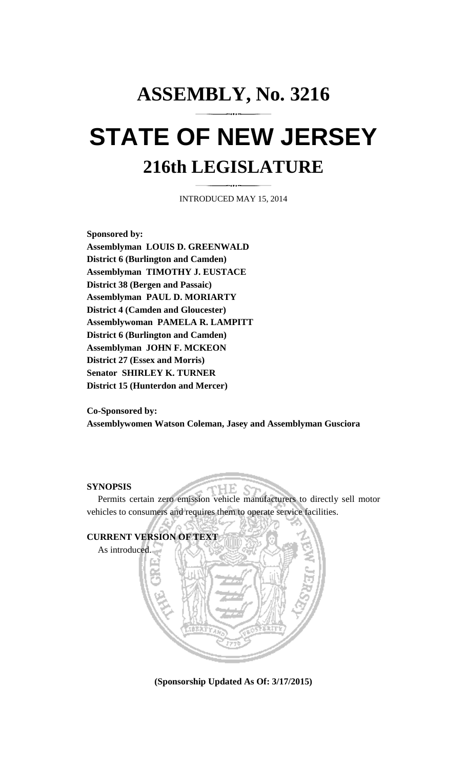# **ASSEMBLY, No. 3216 STATE OF NEW JERSEY 216th LEGISLATURE**

INTRODUCED MAY 15, 2014

**Sponsored by: Assemblyman LOUIS D. GREENWALD District 6 (Burlington and Camden) Assemblyman TIMOTHY J. EUSTACE District 38 (Bergen and Passaic) Assemblyman PAUL D. MORIARTY District 4 (Camden and Gloucester) Assemblywoman PAMELA R. LAMPITT District 6 (Burlington and Camden) Assemblyman JOHN F. MCKEON District 27 (Essex and Morris) Senator SHIRLEY K. TURNER District 15 (Hunterdon and Mercer)** 

**Co-Sponsored by: Assemblywomen Watson Coleman, Jasey and Assemblyman Gusciora** 

### **SYNOPSIS**

 Permits certain zero emission vehicle manufacturers to directly sell motor vehicles to consumers and requires them to operate service facilities.

'HE.



**(Sponsorship Updated As Of: 3/17/2015)**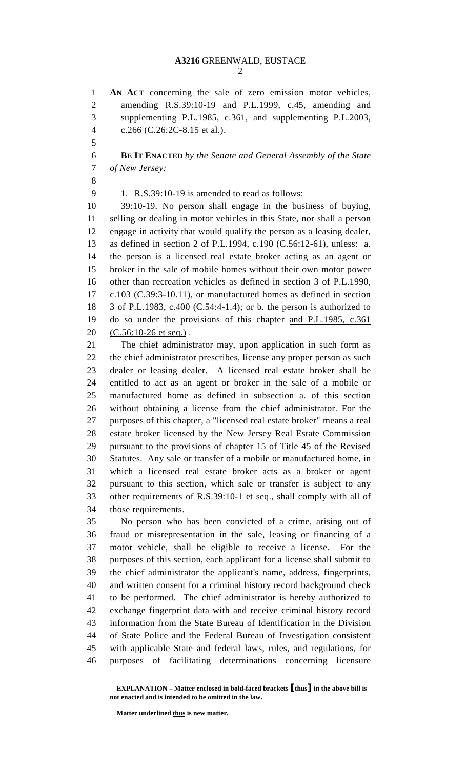# **A3216** GREENWALD, EUSTACE

2

1 **AN ACT** concerning the sale of zero emission motor vehicles, 2 amending R.S.39:10-19 and P.L.1999, c.45, amending and 3 supplementing P.L.1985, c.361, and supplementing P.L.2003, 4 c.266 (C.26:2C-8.15 et al.).

5 6 **BE IT ENACTED** *by the Senate and General Assembly of the State*  7 *of New Jersey:*

8

9 1. R.S.39:10-19 is amended to read as follows:

10 39:10-19. No person shall engage in the business of buying, 11 selling or dealing in motor vehicles in this State, nor shall a person 12 engage in activity that would qualify the person as a leasing dealer, 13 as defined in section 2 of P.L.1994, c.190 (C.56:12-61), unless: a. 14 the person is a licensed real estate broker acting as an agent or 15 broker in the sale of mobile homes without their own motor power 16 other than recreation vehicles as defined in section 3 of P.L.1990, 17 c.103 (C.39:3-10.11), or manufactured homes as defined in section 18 3 of P.L.1983, c.400 (C.54:4-1.4); or b. the person is authorized to 19 do so under the provisions of this chapter and P.L.1985, c.361 20 (C.56:10-26 et seq.).

21 The chief administrator may, upon application in such form as 22 the chief administrator prescribes, license any proper person as such 23 dealer or leasing dealer. A licensed real estate broker shall be 24 entitled to act as an agent or broker in the sale of a mobile or 25 manufactured home as defined in subsection a. of this section 26 without obtaining a license from the chief administrator. For the 27 purposes of this chapter, a "licensed real estate broker" means a real 28 estate broker licensed by the New Jersey Real Estate Commission 29 pursuant to the provisions of chapter 15 of Title 45 of the Revised 30 Statutes. Any sale or transfer of a mobile or manufactured home, in 31 which a licensed real estate broker acts as a broker or agent 32 pursuant to this section, which sale or transfer is subject to any 33 other requirements of R.S.39:10-1 et seq., shall comply with all of 34 those requirements.

35 No person who has been convicted of a crime, arising out of 36 fraud or misrepresentation in the sale, leasing or financing of a 37 motor vehicle, shall be eligible to receive a license. For the 38 purposes of this section, each applicant for a license shall submit to 39 the chief administrator the applicant's name, address, fingerprints, 40 and written consent for a criminal history record background check 41 to be performed. The chief administrator is hereby authorized to 42 exchange fingerprint data with and receive criminal history record 43 information from the State Bureau of Identification in the Division 44 of State Police and the Federal Bureau of Investigation consistent 45 with applicable State and federal laws, rules, and regulations, for 46 purposes of facilitating determinations concerning licensure

 **EXPLANATION – Matter enclosed in bold-faced brackets** [**thus**] **in the above bill is not enacted and is intended to be omitted in the law.** 

 **Matter underlined thus is new matter.**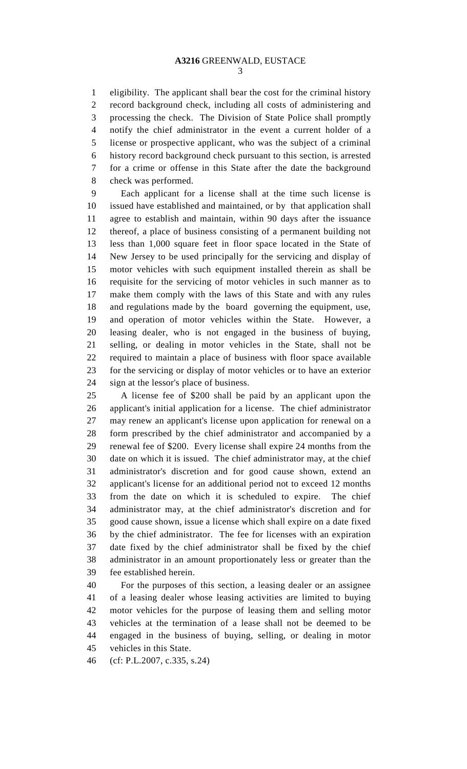1 eligibility. The applicant shall bear the cost for the criminal history 2 record background check, including all costs of administering and 3 processing the check. The Division of State Police shall promptly 4 notify the chief administrator in the event a current holder of a 5 license or prospective applicant, who was the subject of a criminal 6 history record background check pursuant to this section, is arrested 7 for a crime or offense in this State after the date the background 8 check was performed.

9 Each applicant for a license shall at the time such license is 10 issued have established and maintained, or by that application shall 11 agree to establish and maintain, within 90 days after the issuance 12 thereof, a place of business consisting of a permanent building not 13 less than 1,000 square feet in floor space located in the State of 14 New Jersey to be used principally for the servicing and display of 15 motor vehicles with such equipment installed therein as shall be 16 requisite for the servicing of motor vehicles in such manner as to 17 make them comply with the laws of this State and with any rules 18 and regulations made by the board governing the equipment, use, 19 and operation of motor vehicles within the State. However, a 20 leasing dealer, who is not engaged in the business of buying, 21 selling, or dealing in motor vehicles in the State, shall not be 22 required to maintain a place of business with floor space available 23 for the servicing or display of motor vehicles or to have an exterior 24 sign at the lessor's place of business.

25 A license fee of \$200 shall be paid by an applicant upon the 26 applicant's initial application for a license. The chief administrator 27 may renew an applicant's license upon application for renewal on a 28 form prescribed by the chief administrator and accompanied by a 29 renewal fee of \$200. Every license shall expire 24 months from the 30 date on which it is issued. The chief administrator may, at the chief 31 administrator's discretion and for good cause shown, extend an 32 applicant's license for an additional period not to exceed 12 months 33 from the date on which it is scheduled to expire. The chief 34 administrator may, at the chief administrator's discretion and for 35 good cause shown, issue a license which shall expire on a date fixed 36 by the chief administrator. The fee for licenses with an expiration 37 date fixed by the chief administrator shall be fixed by the chief 38 administrator in an amount proportionately less or greater than the 39 fee established herein.

40 For the purposes of this section, a leasing dealer or an assignee 41 of a leasing dealer whose leasing activities are limited to buying 42 motor vehicles for the purpose of leasing them and selling motor 43 vehicles at the termination of a lease shall not be deemed to be 44 engaged in the business of buying, selling, or dealing in motor 45 vehicles in this State.

46 (cf: P.L.2007, c.335, s.24)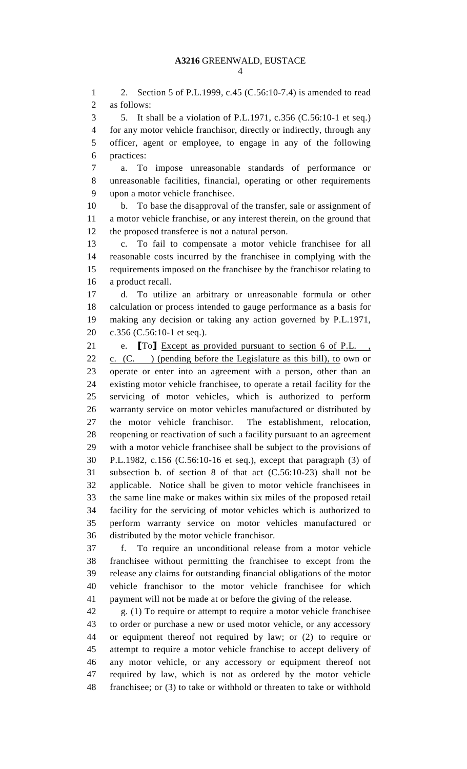1 2. Section 5 of P.L.1999, c.45 (C.56:10-7.4) is amended to read 2 as follows: 3 5. It shall be a violation of P.L.1971, c.356 (C.56:10-1 et seq.) 4 for any motor vehicle franchisor, directly or indirectly, through any 5 officer, agent or employee, to engage in any of the following 6 practices: 7 a. To impose unreasonable standards of performance or 8 unreasonable facilities, financial, operating or other requirements 9 upon a motor vehicle franchisee. 10 b. To base the disapproval of the transfer, sale or assignment of 11 a motor vehicle franchise, or any interest therein, on the ground that 12 the proposed transferee is not a natural person. 13 c. To fail to compensate a motor vehicle franchisee for all 14 reasonable costs incurred by the franchisee in complying with the 15 requirements imposed on the franchisee by the franchisor relating to 16 a product recall. 17 d. To utilize an arbitrary or unreasonable formula or other 18 calculation or process intended to gauge performance as a basis for 19 making any decision or taking any action governed by P.L.1971, 20 c.356 (C.56:10-1 et seq.). 21 e. **[To]** Except as provided pursuant to section 6 of P.L., 22 c.  $(C.$  ) (pending before the Legislature as this bill), to own or 23 operate or enter into an agreement with a person, other than an 24 existing motor vehicle franchisee, to operate a retail facility for the 25 servicing of motor vehicles, which is authorized to perform 26 warranty service on motor vehicles manufactured or distributed by 27 the motor vehicle franchisor. The establishment, relocation, 28 reopening or reactivation of such a facility pursuant to an agreement 29 with a motor vehicle franchisee shall be subject to the provisions of 30 P.L.1982, c.156 (C.56:10-16 et seq.), except that paragraph (3) of 31 subsection b. of section 8 of that act (C.56:10-23) shall not be 32 applicable. Notice shall be given to motor vehicle franchisees in 33 the same line make or makes within six miles of the proposed retail 34 facility for the servicing of motor vehicles which is authorized to 35 perform warranty service on motor vehicles manufactured or 36 distributed by the motor vehicle franchisor. 37 f. To require an unconditional release from a motor vehicle 38 franchisee without permitting the franchisee to except from the 39 release any claims for outstanding financial obligations of the motor 40 vehicle franchisor to the motor vehicle franchisee for which 41 payment will not be made at or before the giving of the release. 42 g. (1) To require or attempt to require a motor vehicle franchisee 43 to order or purchase a new or used motor vehicle, or any accessory 44 or equipment thereof not required by law; or (2) to require or 45 attempt to require a motor vehicle franchise to accept delivery of 46 any motor vehicle, or any accessory or equipment thereof not 47 required by law, which is not as ordered by the motor vehicle 48 franchisee; or (3) to take or withhold or threaten to take or withhold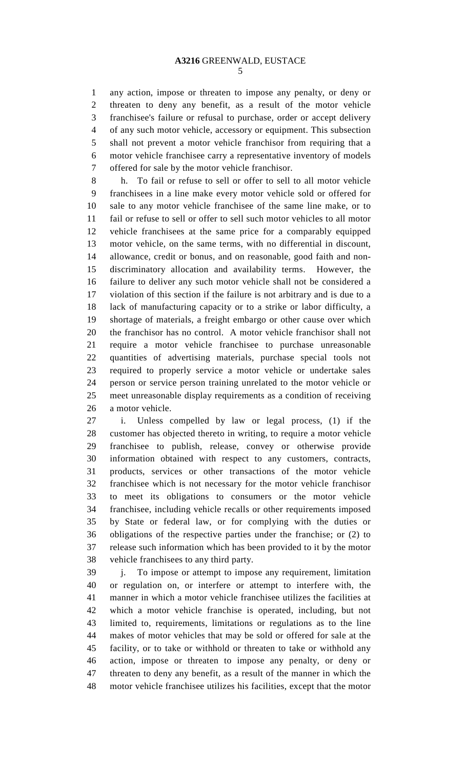1 any action, impose or threaten to impose any penalty, or deny or 2 threaten to deny any benefit, as a result of the motor vehicle 3 franchisee's failure or refusal to purchase, order or accept delivery 4 of any such motor vehicle, accessory or equipment. This subsection 5 shall not prevent a motor vehicle franchisor from requiring that a 6 motor vehicle franchisee carry a representative inventory of models 7 offered for sale by the motor vehicle franchisor.

8 h. To fail or refuse to sell or offer to sell to all motor vehicle 9 franchisees in a line make every motor vehicle sold or offered for 10 sale to any motor vehicle franchisee of the same line make, or to 11 fail or refuse to sell or offer to sell such motor vehicles to all motor 12 vehicle franchisees at the same price for a comparably equipped 13 motor vehicle, on the same terms, with no differential in discount, 14 allowance, credit or bonus, and on reasonable, good faith and non-15 discriminatory allocation and availability terms. However, the 16 failure to deliver any such motor vehicle shall not be considered a 17 violation of this section if the failure is not arbitrary and is due to a 18 lack of manufacturing capacity or to a strike or labor difficulty, a 19 shortage of materials, a freight embargo or other cause over which 20 the franchisor has no control. A motor vehicle franchisor shall not 21 require a motor vehicle franchisee to purchase unreasonable 22 quantities of advertising materials, purchase special tools not 23 required to properly service a motor vehicle or undertake sales 24 person or service person training unrelated to the motor vehicle or 25 meet unreasonable display requirements as a condition of receiving 26 a motor vehicle.

27 i. Unless compelled by law or legal process, (1) if the 28 customer has objected thereto in writing, to require a motor vehicle 29 franchisee to publish, release, convey or otherwise provide 30 information obtained with respect to any customers, contracts, 31 products, services or other transactions of the motor vehicle 32 franchisee which is not necessary for the motor vehicle franchisor 33 to meet its obligations to consumers or the motor vehicle 34 franchisee, including vehicle recalls or other requirements imposed 35 by State or federal law, or for complying with the duties or 36 obligations of the respective parties under the franchise; or (2) to 37 release such information which has been provided to it by the motor 38 vehicle franchisees to any third party.

39 j. To impose or attempt to impose any requirement, limitation 40 or regulation on, or interfere or attempt to interfere with, the 41 manner in which a motor vehicle franchisee utilizes the facilities at 42 which a motor vehicle franchise is operated, including, but not 43 limited to, requirements, limitations or regulations as to the line 44 makes of motor vehicles that may be sold or offered for sale at the 45 facility, or to take or withhold or threaten to take or withhold any 46 action, impose or threaten to impose any penalty, or deny or 47 threaten to deny any benefit, as a result of the manner in which the 48 motor vehicle franchisee utilizes his facilities, except that the motor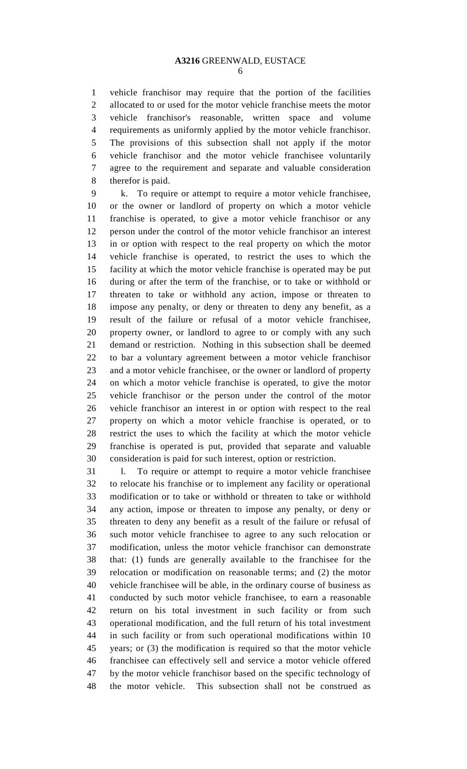1 vehicle franchisor may require that the portion of the facilities 2 allocated to or used for the motor vehicle franchise meets the motor 3 vehicle franchisor's reasonable, written space and volume 4 requirements as uniformly applied by the motor vehicle franchisor. 5 The provisions of this subsection shall not apply if the motor 6 vehicle franchisor and the motor vehicle franchisee voluntarily 7 agree to the requirement and separate and valuable consideration 8 therefor is paid.

9 k. To require or attempt to require a motor vehicle franchisee, 10 or the owner or landlord of property on which a motor vehicle 11 franchise is operated, to give a motor vehicle franchisor or any 12 person under the control of the motor vehicle franchisor an interest 13 in or option with respect to the real property on which the motor 14 vehicle franchise is operated, to restrict the uses to which the 15 facility at which the motor vehicle franchise is operated may be put 16 during or after the term of the franchise, or to take or withhold or 17 threaten to take or withhold any action, impose or threaten to 18 impose any penalty, or deny or threaten to deny any benefit, as a 19 result of the failure or refusal of a motor vehicle franchisee, 20 property owner, or landlord to agree to or comply with any such 21 demand or restriction. Nothing in this subsection shall be deemed 22 to bar a voluntary agreement between a motor vehicle franchisor 23 and a motor vehicle franchisee, or the owner or landlord of property 24 on which a motor vehicle franchise is operated, to give the motor 25 vehicle franchisor or the person under the control of the motor 26 vehicle franchisor an interest in or option with respect to the real 27 property on which a motor vehicle franchise is operated, or to 28 restrict the uses to which the facility at which the motor vehicle 29 franchise is operated is put, provided that separate and valuable 30 consideration is paid for such interest, option or restriction.

31 l. To require or attempt to require a motor vehicle franchisee 32 to relocate his franchise or to implement any facility or operational 33 modification or to take or withhold or threaten to take or withhold 34 any action, impose or threaten to impose any penalty, or deny or 35 threaten to deny any benefit as a result of the failure or refusal of 36 such motor vehicle franchisee to agree to any such relocation or 37 modification, unless the motor vehicle franchisor can demonstrate 38 that: (1) funds are generally available to the franchisee for the 39 relocation or modification on reasonable terms; and (2) the motor 40 vehicle franchisee will be able, in the ordinary course of business as 41 conducted by such motor vehicle franchisee, to earn a reasonable 42 return on his total investment in such facility or from such 43 operational modification, and the full return of his total investment 44 in such facility or from such operational modifications within 10 45 years; or (3) the modification is required so that the motor vehicle 46 franchisee can effectively sell and service a motor vehicle offered 47 by the motor vehicle franchisor based on the specific technology of 48 the motor vehicle. This subsection shall not be construed as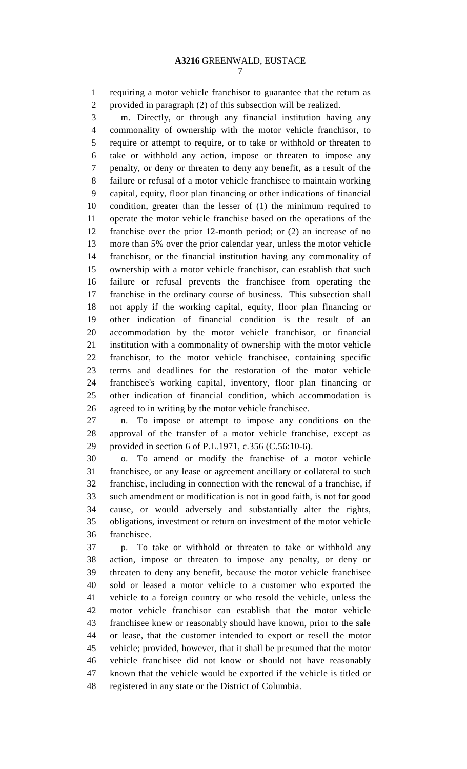1 requiring a motor vehicle franchisor to guarantee that the return as 2 provided in paragraph (2) of this subsection will be realized.

3 m. Directly, or through any financial institution having any 4 commonality of ownership with the motor vehicle franchisor, to 5 require or attempt to require, or to take or withhold or threaten to 6 take or withhold any action, impose or threaten to impose any 7 penalty, or deny or threaten to deny any benefit, as a result of the 8 failure or refusal of a motor vehicle franchisee to maintain working 9 capital, equity, floor plan financing or other indications of financial 10 condition, greater than the lesser of (1) the minimum required to 11 operate the motor vehicle franchise based on the operations of the 12 franchise over the prior 12-month period; or (2) an increase of no 13 more than 5% over the prior calendar year, unless the motor vehicle 14 franchisor, or the financial institution having any commonality of 15 ownership with a motor vehicle franchisor, can establish that such 16 failure or refusal prevents the franchisee from operating the 17 franchise in the ordinary course of business. This subsection shall 18 not apply if the working capital, equity, floor plan financing or 19 other indication of financial condition is the result of an 20 accommodation by the motor vehicle franchisor, or financial 21 institution with a commonality of ownership with the motor vehicle 22 franchisor, to the motor vehicle franchisee, containing specific 23 terms and deadlines for the restoration of the motor vehicle 24 franchisee's working capital, inventory, floor plan financing or 25 other indication of financial condition, which accommodation is 26 agreed to in writing by the motor vehicle franchisee.

27 n. To impose or attempt to impose any conditions on the 28 approval of the transfer of a motor vehicle franchise, except as 29 provided in section 6 of P.L.1971, c.356 (C.56:10-6).

30 o. To amend or modify the franchise of a motor vehicle 31 franchisee, or any lease or agreement ancillary or collateral to such 32 franchise, including in connection with the renewal of a franchise, if 33 such amendment or modification is not in good faith, is not for good 34 cause, or would adversely and substantially alter the rights, 35 obligations, investment or return on investment of the motor vehicle 36 franchisee.

37 p. To take or withhold or threaten to take or withhold any 38 action, impose or threaten to impose any penalty, or deny or 39 threaten to deny any benefit, because the motor vehicle franchisee 40 sold or leased a motor vehicle to a customer who exported the 41 vehicle to a foreign country or who resold the vehicle, unless the 42 motor vehicle franchisor can establish that the motor vehicle 43 franchisee knew or reasonably should have known, prior to the sale 44 or lease, that the customer intended to export or resell the motor 45 vehicle; provided, however, that it shall be presumed that the motor 46 vehicle franchisee did not know or should not have reasonably 47 known that the vehicle would be exported if the vehicle is titled or 48 registered in any state or the District of Columbia.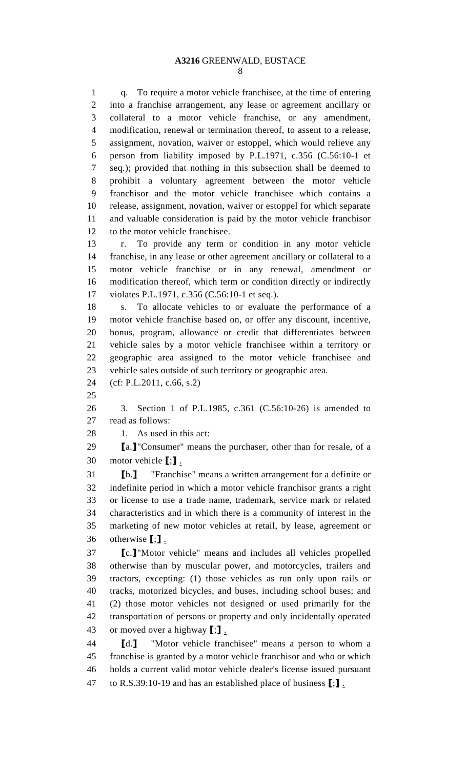1 q. To require a motor vehicle franchisee, at the time of entering 2 into a franchise arrangement, any lease or agreement ancillary or 3 collateral to a motor vehicle franchise, or any amendment, 4 modification, renewal or termination thereof, to assent to a release, 5 assignment, novation, waiver or estoppel, which would relieve any 6 person from liability imposed by P.L.1971, c.356 (C.56:10-1 et 7 seq.); provided that nothing in this subsection shall be deemed to 8 prohibit a voluntary agreement between the motor vehicle 9 franchisor and the motor vehicle franchisee which contains a 10 release, assignment, novation, waiver or estoppel for which separate 11 and valuable consideration is paid by the motor vehicle franchisor 12 to the motor vehicle franchisee.

13 r. To provide any term or condition in any motor vehicle 14 franchise, in any lease or other agreement ancillary or collateral to a 15 motor vehicle franchise or in any renewal, amendment or 16 modification thereof, which term or condition directly or indirectly 17 violates P.L.1971, c.356 (C.56:10-1 et seq.).

18 s. To allocate vehicles to or evaluate the performance of a 19 motor vehicle franchise based on, or offer any discount, incentive, 20 bonus, program, allowance or credit that differentiates between 21 vehicle sales by a motor vehicle franchisee within a territory or 22 geographic area assigned to the motor vehicle franchisee and 23 vehicle sales outside of such territory or geographic area.

24 (cf: P.L.2011, c.66, s.2)

25

26 3. Section 1 of P.L.1985, c.361 (C.56:10-26) is amended to

27 read as follows:

28 1. As used in this act:

29 **[a.]** "Consumer" means the purchaser, other than for resale, of a 30 motor vehicle  $\left[\cdot\right]$ .

31 [b.] "Franchise" means a written arrangement for a definite or 32 indefinite period in which a motor vehicle franchisor grants a right 33 or license to use a trade name, trademark, service mark or related 34 characteristics and in which there is a community of interest in the 35 marketing of new motor vehicles at retail, by lease, agreement or 36 otherwise  $\left[\cdot\right]$ .

37 [c.] "Motor vehicle" means and includes all vehicles propelled 38 otherwise than by muscular power, and motorcycles, trailers and 39 tractors, excepting: (1) those vehicles as run only upon rails or 40 tracks, motorized bicycles, and buses, including school buses; and 41 (2) those motor vehicles not designed or used primarily for the 42 transportation of persons or property and only incidentally operated 43 or moved over a highway  $\left[\cdot\right]$ .

44 [d.] "Motor vehicle franchisee" means a person to whom a 45 franchise is granted by a motor vehicle franchisor and who or which 46 holds a current valid motor vehicle dealer's license issued pursuant 47 to R.S.39:10-19 and has an established place of business  $\left[\cdot\right]$ .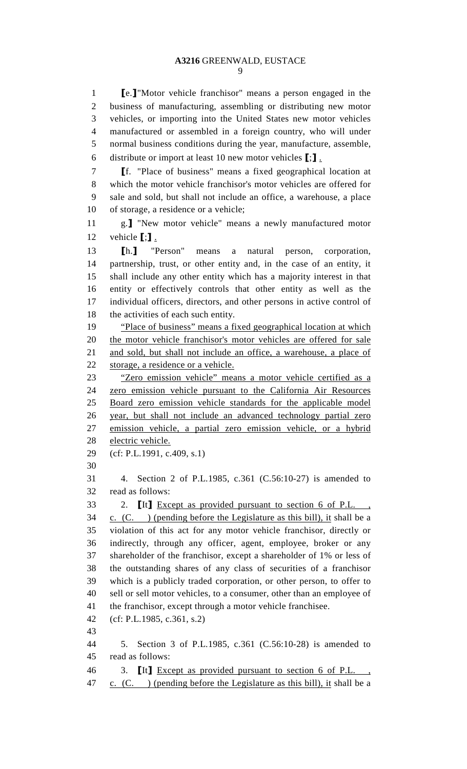1 [e.] "Motor vehicle franchisor" means a person engaged in the 2 business of manufacturing, assembling or distributing new motor 3 vehicles, or importing into the United States new motor vehicles 4 manufactured or assembled in a foreign country, who will under 5 normal business conditions during the year, manufacture, assemble, 6 distribute or import at least 10 new motor vehicles  $\left[\cdot\right]$ .

7 [f. "Place of business" means a fixed geographical location at 8 which the motor vehicle franchisor's motor vehicles are offered for 9 sale and sold, but shall not include an office, a warehouse, a place 10 of storage, a residence or a vehicle;

11 g.] "New motor vehicle" means a newly manufactured motor 12 vehicle  $\left[ \cdot \right]$ .

13 [h.] "Person" means a natural person, corporation, 14 partnership, trust, or other entity and, in the case of an entity, it 15 shall include any other entity which has a majority interest in that 16 entity or effectively controls that other entity as well as the 17 individual officers, directors, and other persons in active control of 18 the activities of each such entity.

19 "Place of business" means a fixed geographical location at which 20 the motor vehicle franchisor's motor vehicles are offered for sale 21 and sold, but shall not include an office, a warehouse, a place of 22 storage, a residence or a vehicle.

23 "Zero emission vehicle" means a motor vehicle certified as a 24 zero emission vehicle pursuant to the California Air Resources 25 Board zero emission vehicle standards for the applicable model 26 year, but shall not include an advanced technology partial zero 27 emission vehicle, a partial zero emission vehicle, or a hybrid 28 electric vehicle.

```
29 (cf: P.L.1991, c.409, s.1)
```
30

31 4. Section 2 of P.L.1985, c.361 (C.56:10-27) is amended to 32 read as follows:

33 2. **[It]** Except as provided pursuant to section 6 of P.L. 34 c. (C. ) (pending before the Legislature as this bill), it shall be a 35 violation of this act for any motor vehicle franchisor, directly or 36 indirectly, through any officer, agent, employee, broker or any 37 shareholder of the franchisor, except a shareholder of 1% or less of 38 the outstanding shares of any class of securities of a franchisor 39 which is a publicly traded corporation, or other person, to offer to 40 sell or sell motor vehicles, to a consumer, other than an employee of 41 the franchisor, except through a motor vehicle franchisee. 42 (cf: P.L.1985, c.361, s.2)

43

44 5. Section 3 of P.L.1985, c.361 (C.56:10-28) is amended to 45 read as follows:

46 3. **[It]** Except as provided pursuant to section 6 of P.L.

47 c.  $(C.$  ) (pending before the Legislature as this bill), it shall be a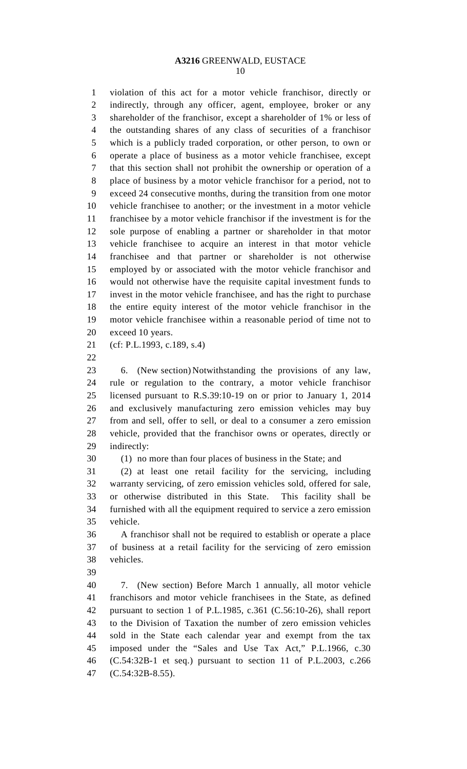#### **A3216** GREENWALD, EUSTACE 10

1 violation of this act for a motor vehicle franchisor, directly or 2 indirectly, through any officer, agent, employee, broker or any 3 shareholder of the franchisor, except a shareholder of 1% or less of 4 the outstanding shares of any class of securities of a franchisor 5 which is a publicly traded corporation, or other person, to own or 6 operate a place of business as a motor vehicle franchisee, except 7 that this section shall not prohibit the ownership or operation of a 8 place of business by a motor vehicle franchisor for a period, not to 9 exceed 24 consecutive months, during the transition from one motor 10 vehicle franchisee to another; or the investment in a motor vehicle 11 franchisee by a motor vehicle franchisor if the investment is for the 12 sole purpose of enabling a partner or shareholder in that motor 13 vehicle franchisee to acquire an interest in that motor vehicle 14 franchisee and that partner or shareholder is not otherwise 15 employed by or associated with the motor vehicle franchisor and 16 would not otherwise have the requisite capital investment funds to 17 invest in the motor vehicle franchisee, and has the right to purchase 18 the entire equity interest of the motor vehicle franchisor in the 19 motor vehicle franchisee within a reasonable period of time not to 20 exceed 10 years.

21 (cf: P.L.1993, c.189, s.4)

22

23 6. (New section) Notwithstanding the provisions of any law, 24 rule or regulation to the contrary, a motor vehicle franchisor 25 licensed pursuant to R.S.39:10-19 on or prior to January 1, 2014 26 and exclusively manufacturing zero emission vehicles may buy 27 from and sell, offer to sell, or deal to a consumer a zero emission 28 vehicle, provided that the franchisor owns or operates, directly or 29 indirectly:

30 (1) no more than four places of business in the State; and

31 (2) at least one retail facility for the servicing, including 32 warranty servicing, of zero emission vehicles sold, offered for sale, 33 or otherwise distributed in this State. This facility shall be 34 furnished with all the equipment required to service a zero emission 35 vehicle.

36 A franchisor shall not be required to establish or operate a place 37 of business at a retail facility for the servicing of zero emission 38 vehicles.

39

40 7. (New section) Before March 1 annually, all motor vehicle 41 franchisors and motor vehicle franchisees in the State, as defined 42 pursuant to section 1 of P.L.1985, c.361 (C.56:10-26), shall report 43 to the Division of Taxation the number of zero emission vehicles 44 sold in the State each calendar year and exempt from the tax 45 imposed under the "Sales and Use Tax Act," P.L.1966, c.30 46 (C.54:32B-1 et seq.) pursuant to section 11 of P.L.2003, c.266 47 (C.54:32B-8.55).